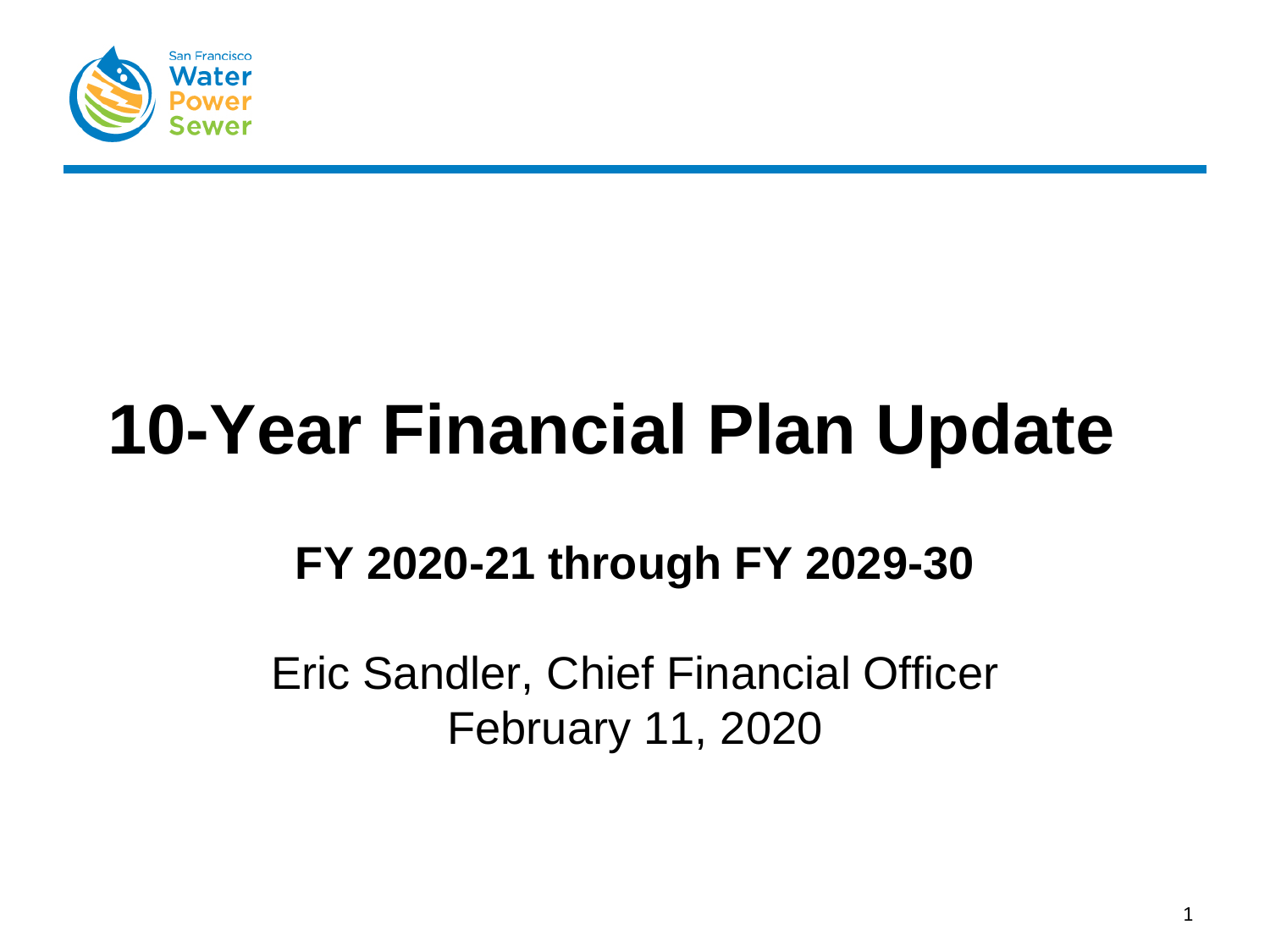

# **10-Year Financial Plan Update**

# **FY 2020-21 through FY 2029-30**

Eric Sandler, Chief Financial Officer February 11, 2020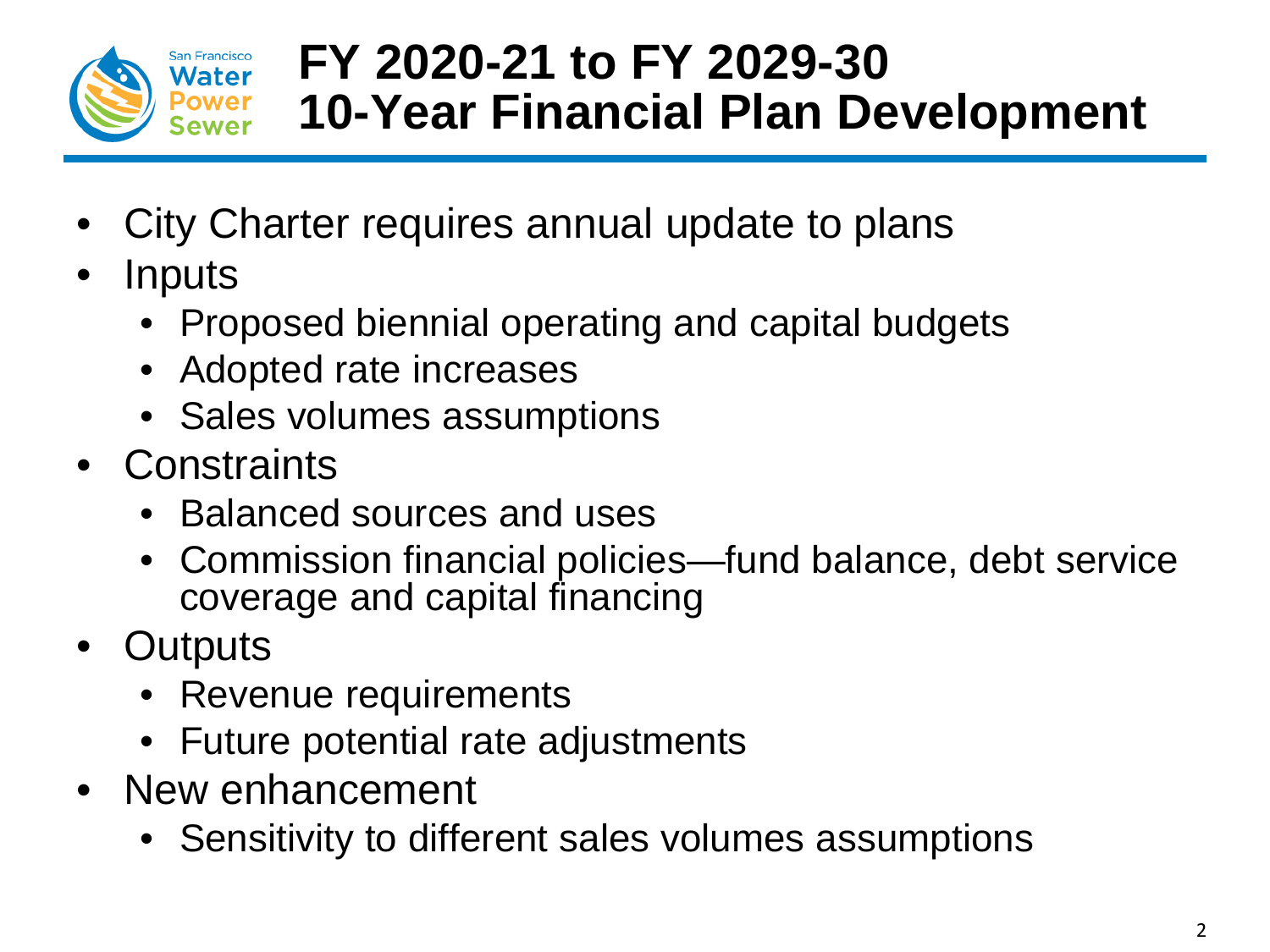

# **FY 2020-21 to FY 2029-30 10-Year Financial Plan Development**

- City Charter requires annual update to plans
- **Inputs** 
	- Proposed biennial operating and capital budgets
	- Adopted rate increases
	- Sales volumes assumptions
- Constraints
	- Balanced sources and uses
	- Commission financial policies—fund balance, debt service coverage and capital financing
- Outputs
	- Revenue requirements
	- Future potential rate adjustments
- New enhancement
	- Sensitivity to different sales volumes assumptions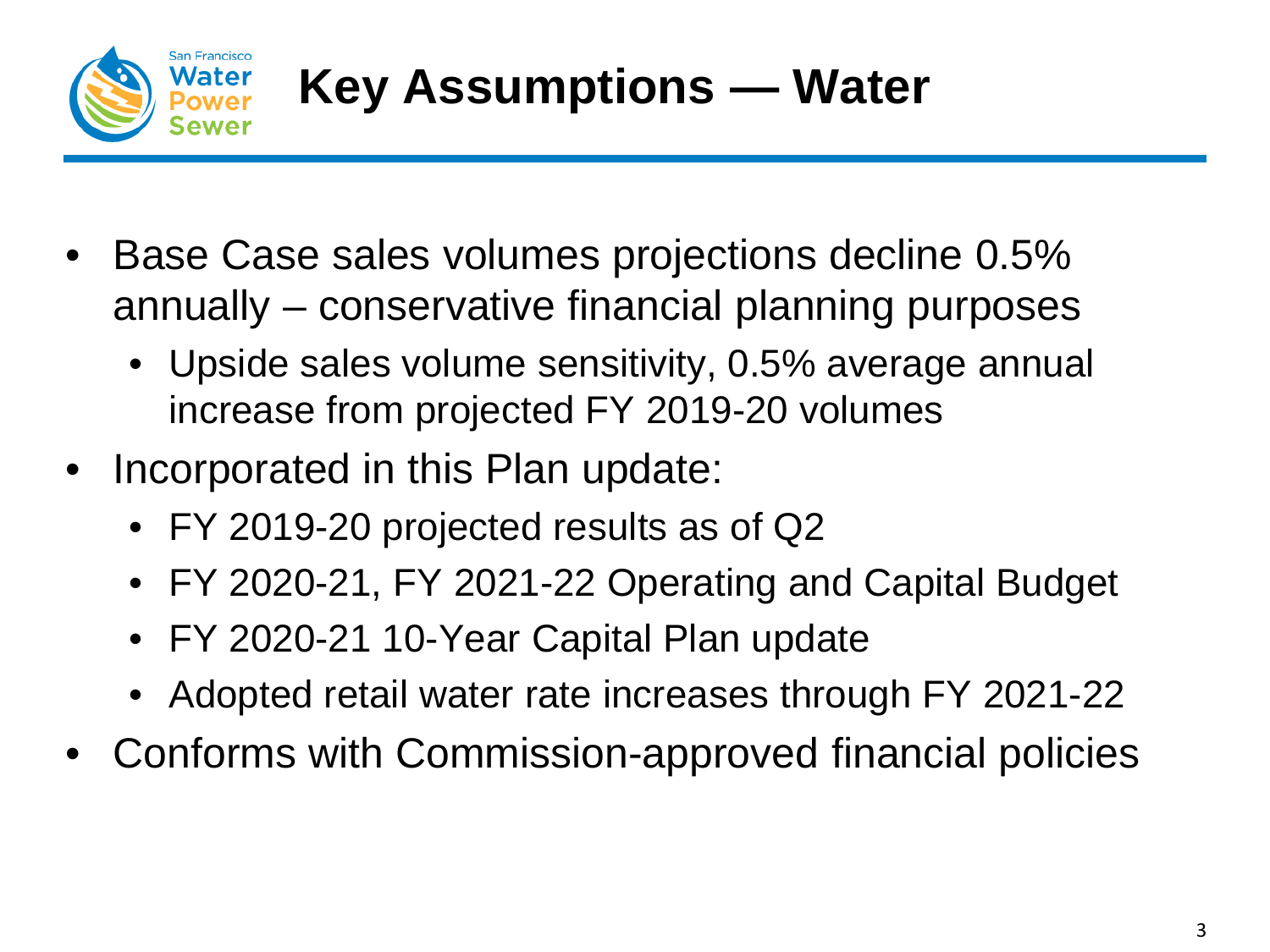

- Base Case sales volumes projections decline 0.5% annually – conservative financial planning purposes
	- Upside sales volume sensitivity, 0.5% average annual increase from projected FY 2019-20 volumes
- Incorporated in this Plan update:
	- FY 2019-20 projected results as of Q2
	- FY 2020-21, FY 2021-22 Operating and Capital Budget
	- FY 2020-21 10-Year Capital Plan update
	- Adopted retail water rate increases through FY 2021-22
- Conforms with Commission-approved financial policies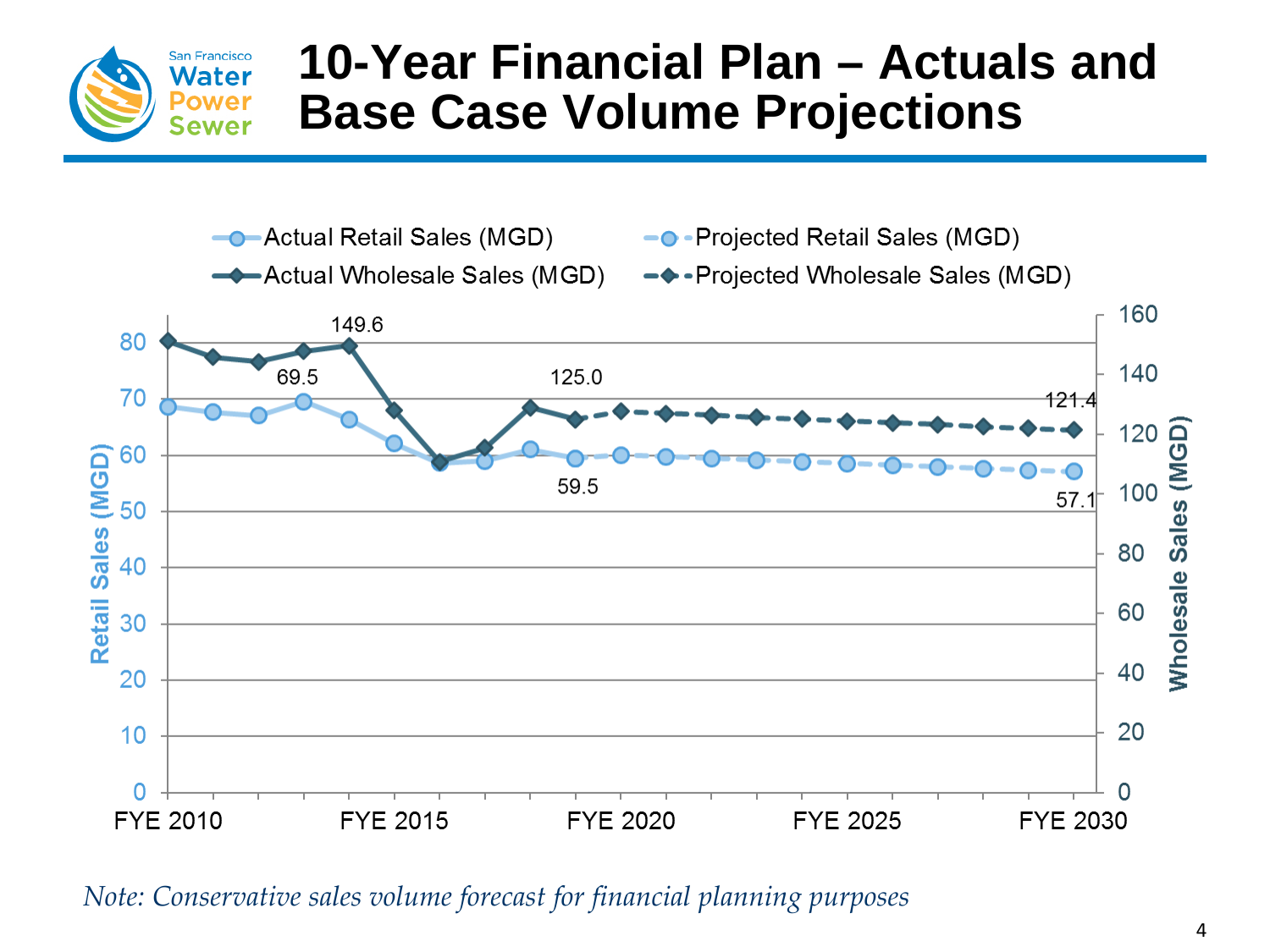

# **10-Year Financial Plan – Actuals and Base Case Volume Projections**



*Note: Conservative sales volume forecast for financial planning purposes*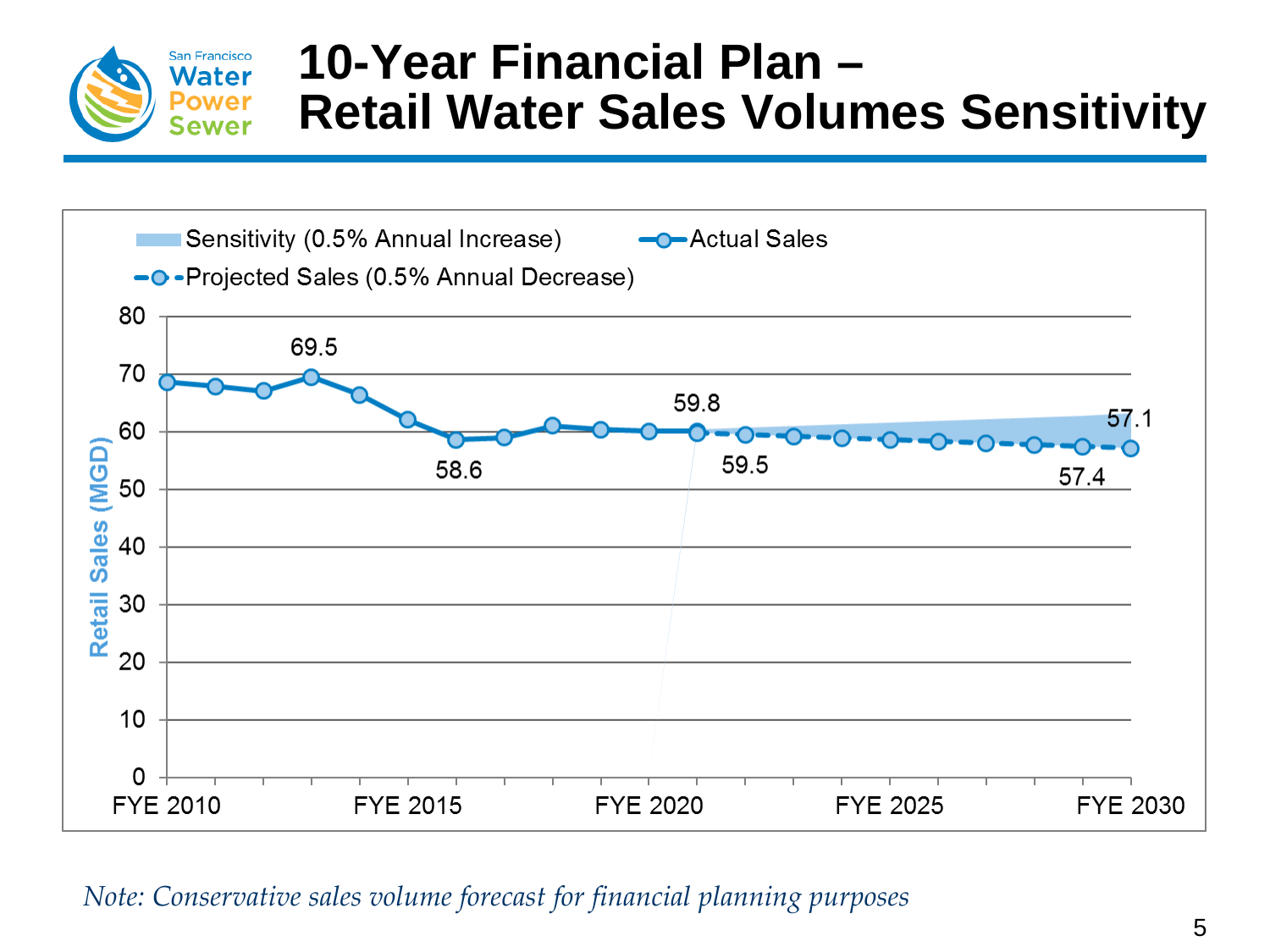

### **10-Year Financial Plan – Retail Water Sales Volumes Sensitivity**

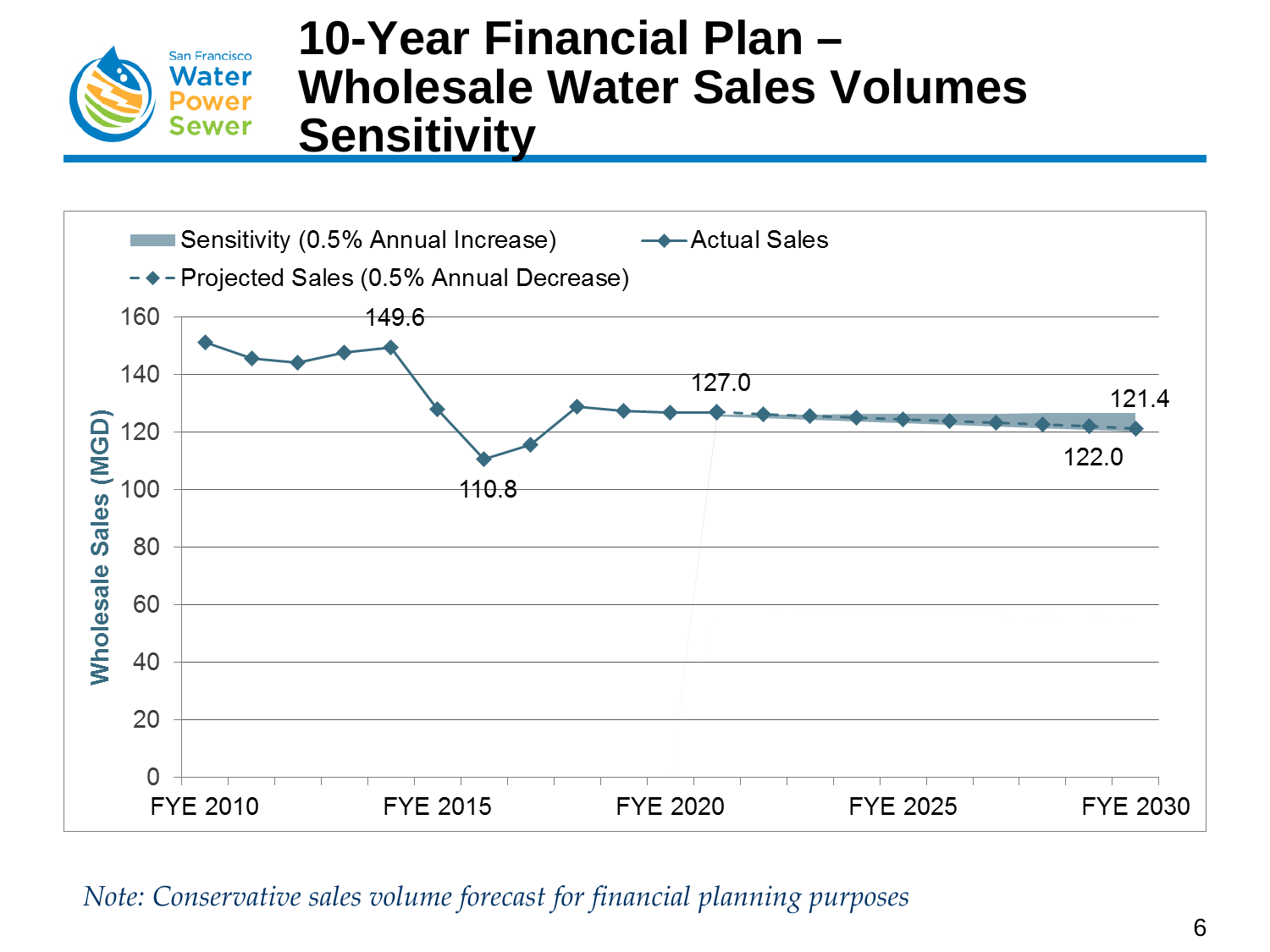

### **10-Year Financial Plan – Wholesale Water Sales Volumes Sensitivity**

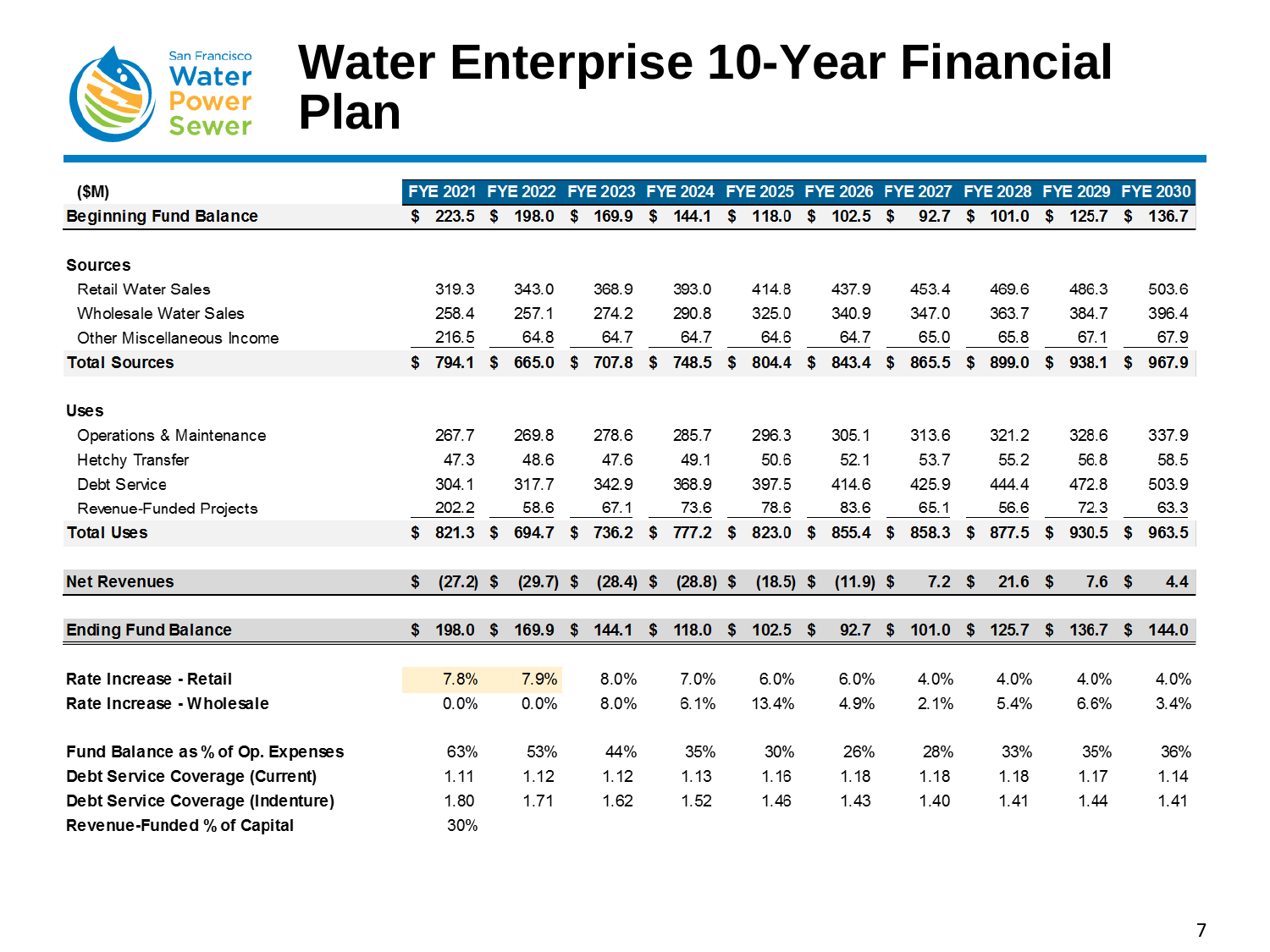

### **Water Enterprise 10-Year Financial Plan**

| (\$M)                             |                   |      |             |    |        |     | FYE 2021 FYE 2022 FYE 2023 FYE 2024 FYE 2025 FYE 2026 FYE 2027 FYE 2028 FYE 2029 FYE 2030 |      |             |     |             |            |                  |      |       |      |                  |    |         |
|-----------------------------------|-------------------|------|-------------|----|--------|-----|-------------------------------------------------------------------------------------------|------|-------------|-----|-------------|------------|------------------|------|-------|------|------------------|----|---------|
| <b>Beginning Fund Balance</b>     | \$<br>223.5       | - \$ | 198.0       | -S | 169.9  | S.  | 144.1                                                                                     | S.   | 118.0       | \$  | 102.5       | $\sqrt{3}$ | 92.7             | -SS  | 101.0 | - \$ | 125.7            |    | \$136.7 |
|                                   |                   |      |             |    |        |     |                                                                                           |      |             |     |             |            |                  |      |       |      |                  |    |         |
| <b>Sources</b>                    |                   |      |             |    |        |     |                                                                                           |      |             |     |             |            |                  |      |       |      |                  |    |         |
| <b>Retail Water Sales</b>         | 319.3             |      | 343.0       |    | 368.9  |     | 393.0                                                                                     |      | 414.8       |     | 437.9       |            | 453.4            |      | 469.6 |      | 486.3            |    | 503.6   |
| Wholesale Water Sales             | 258.4             |      | 257.1       |    | 274.2  |     | 290.8                                                                                     |      | 325.0       |     | 340.9       |            | 347.0            |      | 363.7 |      | 384.7            |    | 396.4   |
| Other Miscellaneous Income        | 216.5             |      | 64.8        |    | 64.7   |     | 64.7                                                                                      |      | 64.6        |     | 64.7        |            | 65.0             |      | 65.8  |      | 67.1             |    | 67.9    |
| <b>Total Sources</b>              | \$<br>794.1       | \$   | 665.0       | S. | 707.8  | \$  | 748.5                                                                                     | \$   | 804.4       | \$  | 843.4       | \$         | 865.5            | s    | 899.0 | \$   | 938.1            | s  | 967.9   |
| <b>Uses</b>                       |                   |      |             |    |        |     |                                                                                           |      |             |     |             |            |                  |      |       |      |                  |    |         |
| Operations & Maintenance          | 267.7             |      | 269.8       |    | 278.6  |     | 285.7                                                                                     |      | 296.3       |     | 305.1       |            | 313.6            |      | 321.2 |      | 328.6            |    | 337.9   |
| Hetchy Transfer                   | 47.3              |      | 48.6        |    | 47.6   |     | 49.1                                                                                      |      | 50.6        |     | 52.1        |            | 53.7             |      | 55.2  |      | 56.8             |    | 58.5    |
| Debt Service                      | 304.1             |      | 317.7       |    | 342.9  |     | 368.9                                                                                     |      | 397.5       |     | 414.6       |            | 425.9            |      | 444.4 |      | 472.8            |    | 503.9   |
| Revenue-Funded Projects           | 202.2             |      | 58.6        |    | 67.1   |     | 73.6                                                                                      |      | 78.6        |     | 83.6        |            | 65.1             |      | 56.6  |      | 72.3             |    | 63.3    |
| <b>Total Uses</b>                 | \$<br>821.3       | S.   | 694.7 \$    |    | 736.2  | \$. | 777.2                                                                                     | - \$ | 823.0       | \$. | 855.4       | S.         | 858.3            | -S   | 877.5 | S.   | 930.5            | S. | 963.5   |
|                                   |                   |      |             |    |        |     |                                                                                           |      |             |     |             |            |                  |      |       |      |                  |    |         |
| <b>Net Revenues</b>               | \$<br>$(27.2)$ \$ |      | $(29.7)$ \$ |    | (28.4) | \$. | $(28.8)$ \$                                                                               |      | $(18.5)$ \$ |     | $(11.9)$ \$ |            | 7.2 <sup>5</sup> |      | 21.6  | -S   | 7.6 <sup>5</sup> |    | 4.4     |
|                                   |                   |      |             |    |        |     |                                                                                           |      |             |     |             |            |                  |      |       |      |                  |    |         |
| <b>Ending Fund Balance</b>        | \$<br>198.0       | S.   | $169.9$ \$  |    | 144.1  | \$  | 118.0                                                                                     | \$   | 102.5       | \$. | 92.7        | \$         | 101.0            | - \$ | 125.7 | -S   | 136.7            | s. | 144.0   |
|                                   |                   |      |             |    |        |     |                                                                                           |      |             |     |             |            |                  |      |       |      |                  |    |         |
| Rate Increase - Retail            | 7.8%              |      | 7.9%        |    | 8.0%   |     | 7.0%                                                                                      |      | 6.0%        |     | 6.0%        |            | 4.0%             |      | 4.0%  |      | 4.0%             |    | 4.0%    |
| Rate Increase - Wholesale         | 0.0%              |      | 0.0%        |    | 8.0%   |     | 6.1%                                                                                      |      | 13.4%       |     | 4.9%        |            | 2.1%             |      | 5.4%  |      | 6.6%             |    | 3.4%    |
| Fund Balance as % of Op. Expenses | 63%               |      | 53%         |    | 44%    |     | 35%                                                                                       |      | 30%         |     | 26%         |            | 28%              |      | 33%   |      | 35%              |    | 36%     |
| Debt Service Coverage (Current)   | 1.11              |      | 1.12        |    | 1.12   |     | 1.13                                                                                      |      | 1.16        |     | 1.18        |            | 1.18             |      | 1.18  |      | 1.17             |    | 1.14    |
| Debt Service Coverage (Indenture) | 1.80              |      | 1.71        |    | 1.62   |     | 1.52                                                                                      |      | 1.46        |     | 1.43        |            | 1.40             |      | 1.41  |      | 1.44             |    | 1.41    |
| Revenue-Funded % of Capital       | 30%               |      |             |    |        |     |                                                                                           |      |             |     |             |            |                  |      |       |      |                  |    |         |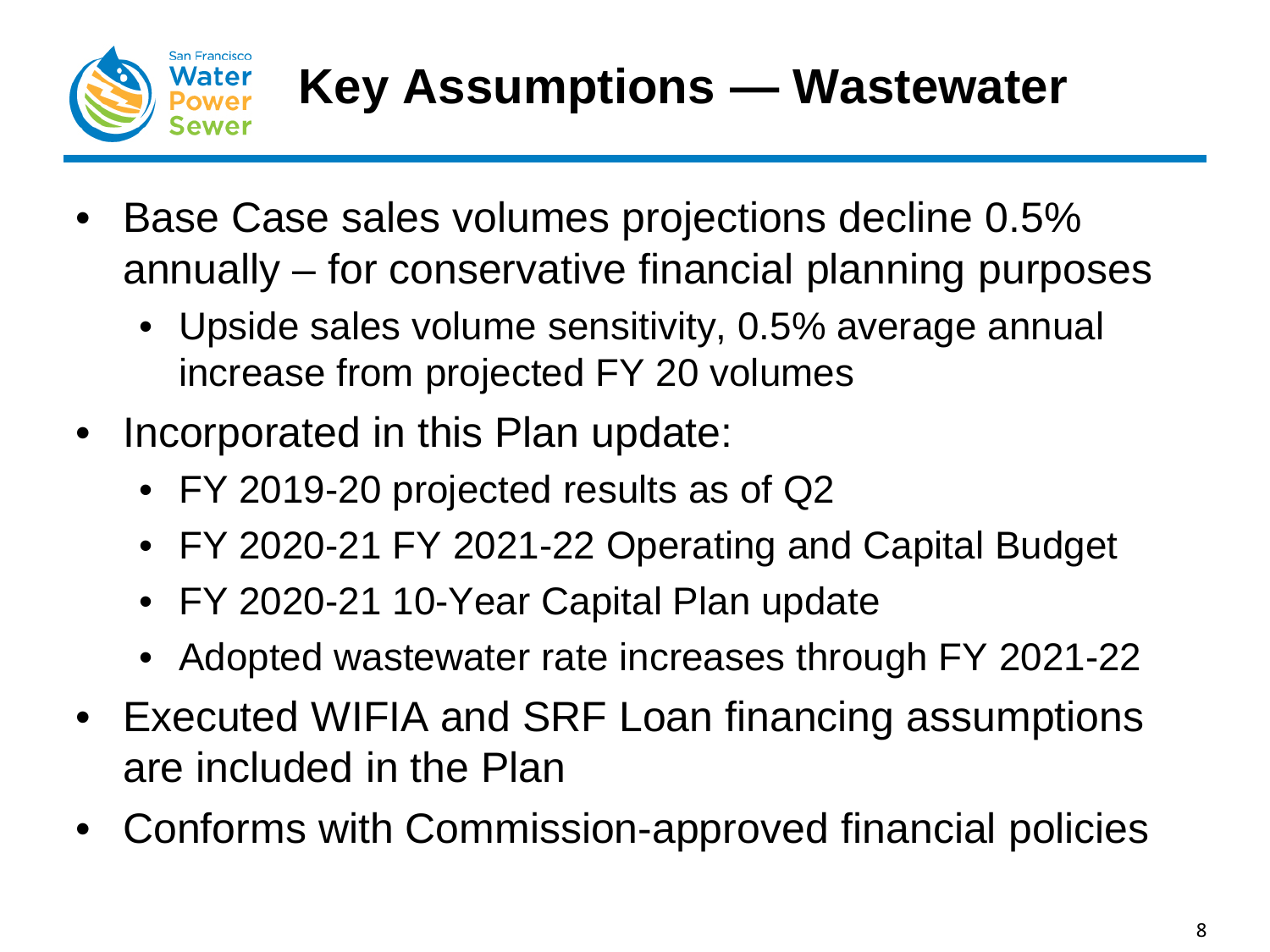

- Base Case sales volumes projections decline 0.5% annually – for conservative financial planning purposes
	- Upside sales volume sensitivity, 0.5% average annual increase from projected FY 20 volumes
- Incorporated in this Plan update:
	- FY 2019-20 projected results as of Q2
	- FY 2020-21 FY 2021-22 Operating and Capital Budget
	- FY 2020-21 10-Year Capital Plan update
	- Adopted wastewater rate increases through FY 2021-22
- Executed WIFIA and SRF Loan financing assumptions are included in the Plan
- Conforms with Commission-approved financial policies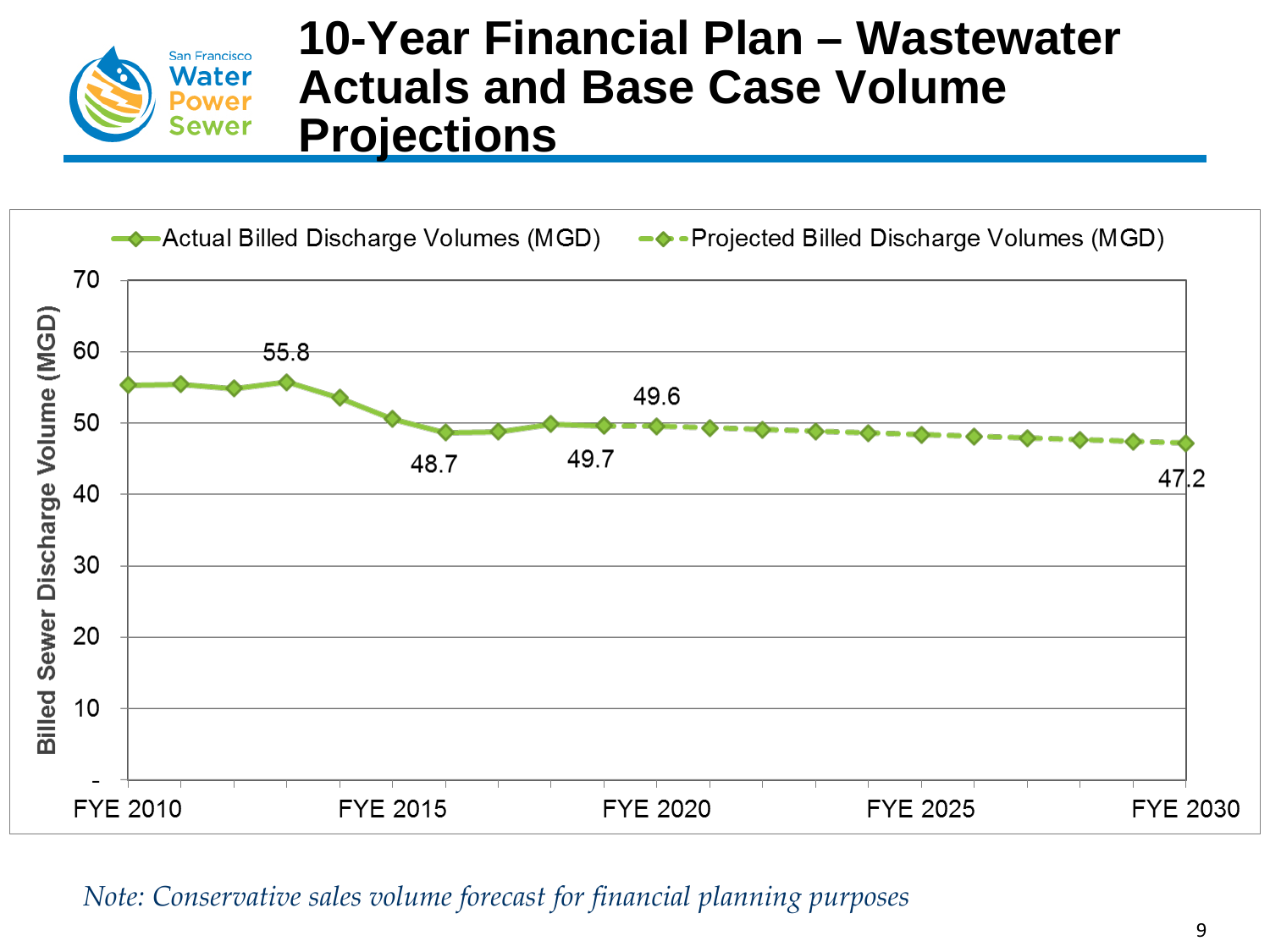![](_page_8_Picture_0.jpeg)

### **10-Year Financial Plan – Wastewater Actuals and Base Case Volume Projections**

![](_page_8_Figure_2.jpeg)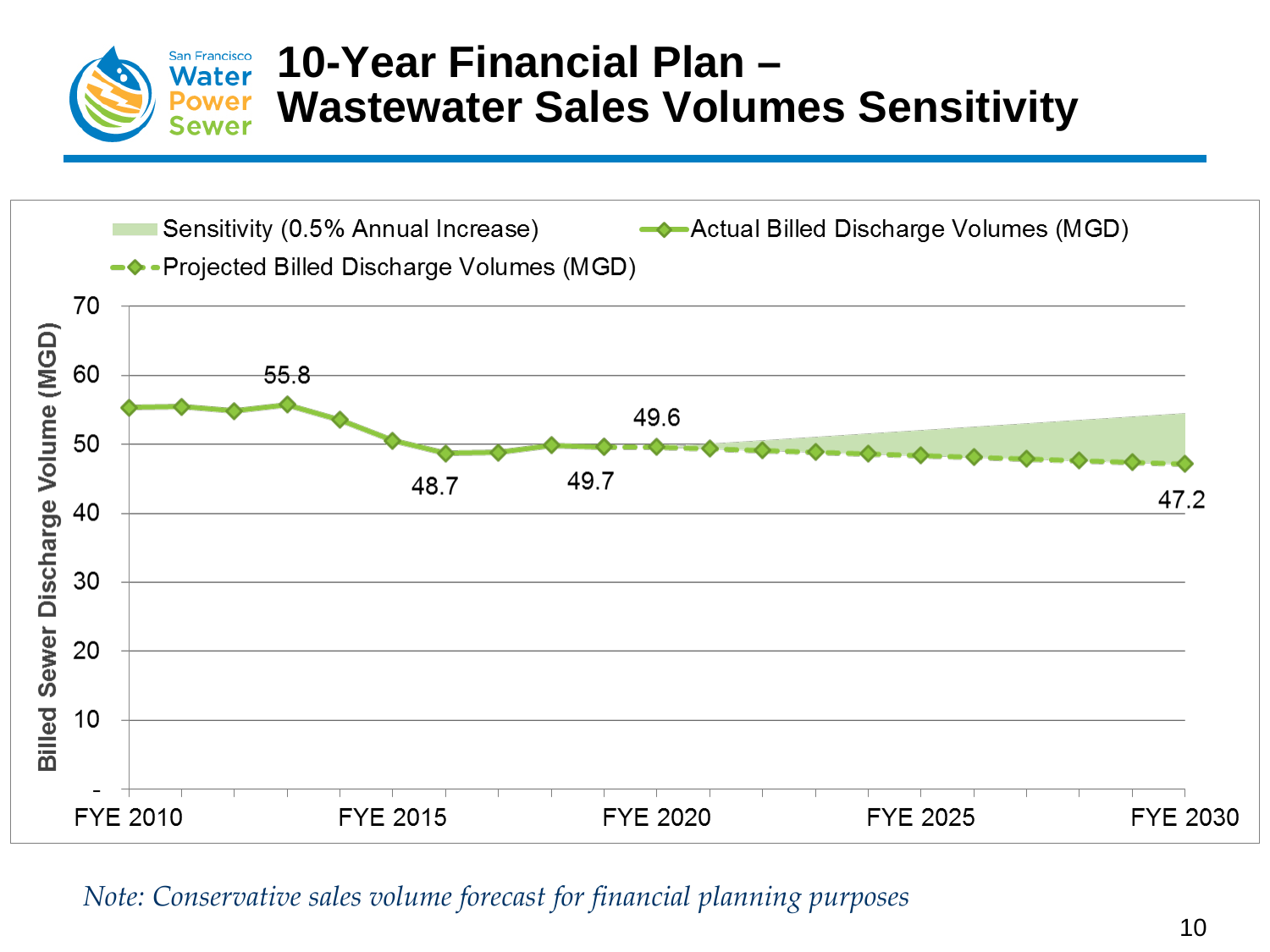![](_page_9_Picture_0.jpeg)

### **10-Year Financial Plan – Wastewater Sales Volumes Sensitivity**

![](_page_9_Figure_2.jpeg)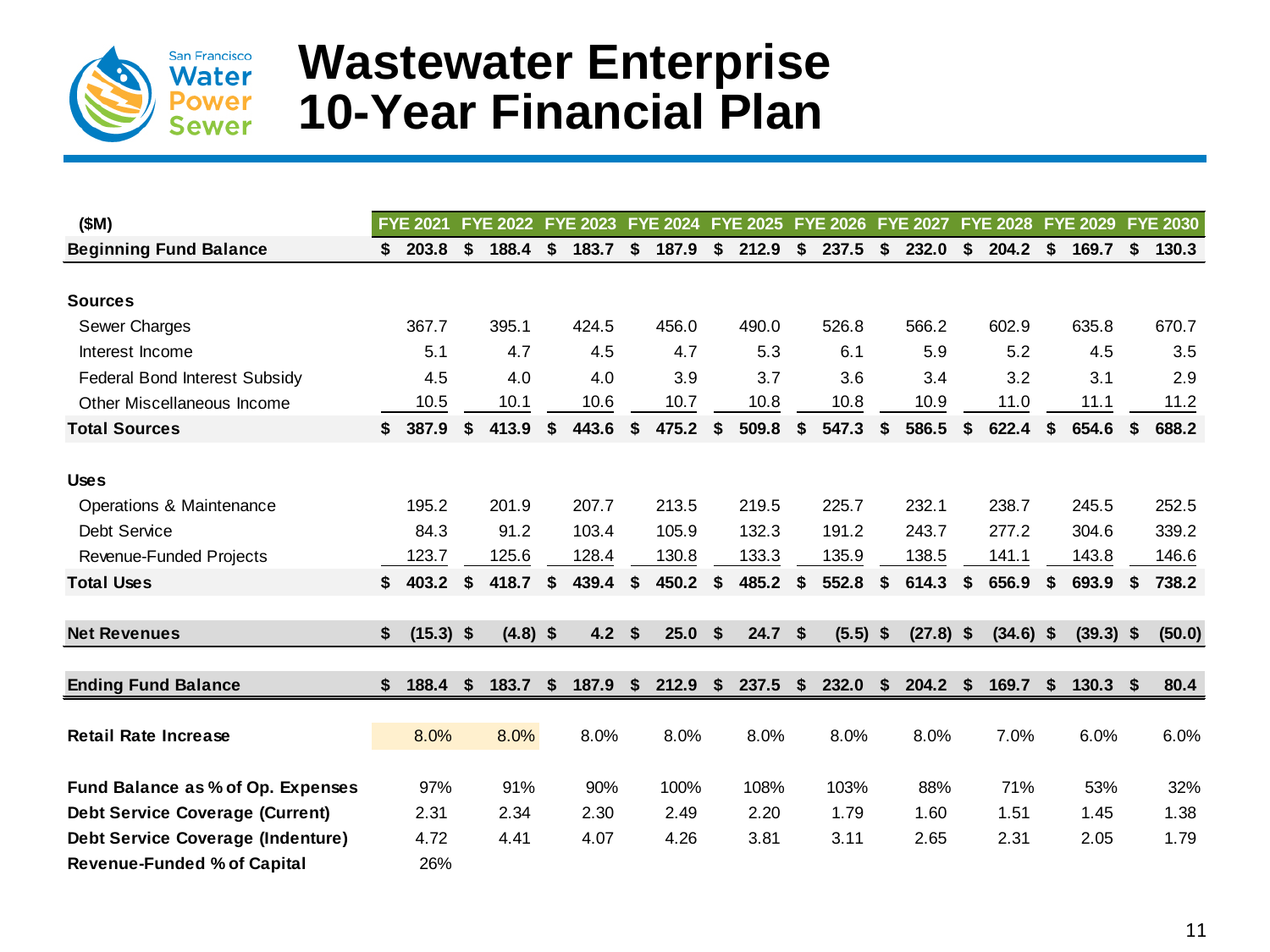![](_page_10_Picture_0.jpeg)

### **Wastewater Enterprise 10-Year Financial Plan**

| (SM)                                     | <b>FYE 2021</b>   |    | <b>FYE 2022</b> |    | <b>FYE 2023</b> | <b>FYE 2024</b> | <b>FYE 2025</b> | <b>FYE 2026</b>  |          | <b>FYE 2027</b> | <b>FYE 2028</b> |    | <b>FYE 2029</b> |    | <b>FYE 2030</b> |
|------------------------------------------|-------------------|----|-----------------|----|-----------------|-----------------|-----------------|------------------|----------|-----------------|-----------------|----|-----------------|----|-----------------|
| <b>Beginning Fund Balance</b>            | \$<br>203.8       | \$ | 188.4           | \$ | 183.7           | \$<br>187.9     | \$<br>212.9     | \$<br>237.5      | \$       | 232.0           | \$<br>204.2     | \$ | 169.7           | \$ | 130.3           |
|                                          |                   |    |                 |    |                 |                 |                 |                  |          |                 |                 |    |                 |    |                 |
| <b>Sources</b>                           |                   |    |                 |    |                 |                 |                 |                  |          |                 |                 |    |                 |    |                 |
| Sewer Charges                            | 367.7             |    | 395.1           |    | 424.5           | 456.0           | 490.0           | 526.8            |          | 566.2           | 602.9           |    | 635.8           |    | 670.7           |
| Interest Income                          | 5.1               |    | 4.7             |    | 4.5             | 4.7             | 5.3             | 6.1              |          | 5.9             | 5.2             |    | 4.5             |    | 3.5             |
| Federal Bond Interest Subsidy            | 4.5               |    | 4.0             |    | 4.0             | 3.9             | 3.7             | 3.6              |          | 3.4             | 3.2             |    | 3.1             |    | 2.9             |
| Other Miscellaneous Income               | 10.5              |    | 10.1            |    | 10.6            | 10.7            | 10.8            | 10.8             |          | 10.9            | 11.0            |    | 11.1            |    | 11.2            |
| <b>Total Sources</b>                     | \$<br>387.9       | \$ | 413.9           | S  | 443.6           | \$<br>475.2     | \$<br>509.8     | \$<br>547.3      |          | 586.5           | \$<br>622.4     | \$ | 654.6           | \$ | 688.2           |
|                                          |                   |    |                 |    |                 |                 |                 |                  |          |                 |                 |    |                 |    |                 |
| <b>Uses</b>                              |                   |    |                 |    |                 |                 |                 |                  |          |                 |                 |    |                 |    |                 |
| Operations & Maintenance                 | 195.2             |    | 201.9           |    | 207.7           | 213.5           | 219.5           | 225.7            |          | 232.1           | 238.7           |    | 245.5           |    | 252.5           |
| Debt Service                             | 84.3              |    | 91.2            |    | 103.4           | 105.9           | 132.3           | 191.2            |          | 243.7           | 277.2           |    | 304.6           |    | 339.2           |
| Revenue-Funded Projects                  | 123.7             |    | 125.6           |    | 128.4           | 130.8           | 133.3           | 135.9            |          | 138.5           | 141.1           |    | 143.8           |    | 146.6           |
| <b>Total Uses</b>                        | \$<br>403.2       | \$ | 418.7           | \$ | 439.4           | \$<br>450.2     | \$<br>485.2     | \$<br>552.8      | \$       | 614.3           | \$<br>656.9     | \$ | 693.9           | \$ | 738.2           |
| <b>Net Revenues</b>                      | \$<br>$(15.3)$ \$ |    | $(4.8)$ \$      |    | 4.2             | \$<br>25.0      | \$<br>24.7      | \$<br>$(5.5)$ \$ |          | $(27.8)$ \$     | $(34.6)$ \$     |    | $(39.3)$ \$     |    | (50.0)          |
|                                          |                   |    |                 |    |                 |                 |                 |                  |          |                 |                 |    |                 |    |                 |
| <b>Ending Fund Balance</b>               | \$<br>188.4       | -S | 183.7           | Ŝ. | 187.9           | \$<br>212.9     | \$<br>237.5     | \$<br>232.0      | <b>S</b> | 204.2           | \$<br>169.7     | Ŝ. | 130.3           | Ŝ. | 80.4            |
|                                          |                   |    |                 |    |                 |                 |                 |                  |          |                 |                 |    |                 |    |                 |
| <b>Retail Rate Increase</b>              | 8.0%              |    | 8.0%            |    | 8.0%            | 8.0%            | 8.0%            | 8.0%             |          | 8.0%            | 7.0%            |    | 6.0%            |    | 6.0%            |
| Fund Balance as % of Op. Expenses        | 97%               |    | 91%             |    | 90%             | 100%            | 108%            | 103%             |          | 88%             | 71%             |    | 53%             |    | 32%             |
| <b>Debt Service Coverage (Current)</b>   | 2.31              |    | 2.34            |    | 2.30            | 2.49            | 2.20            | 1.79             |          | 1.60            | 1.51            |    | 1.45            |    | 1.38            |
| <b>Debt Service Coverage (Indenture)</b> | 4.72              |    | 4.41            |    | 4.07            | 4.26            | 3.81            | 3.11             |          | 2.65            | 2.31            |    | 2.05            |    | 1.79            |
| <b>Revenue-Funded % of Capital</b>       | 26%               |    |                 |    |                 |                 |                 |                  |          |                 |                 |    |                 |    |                 |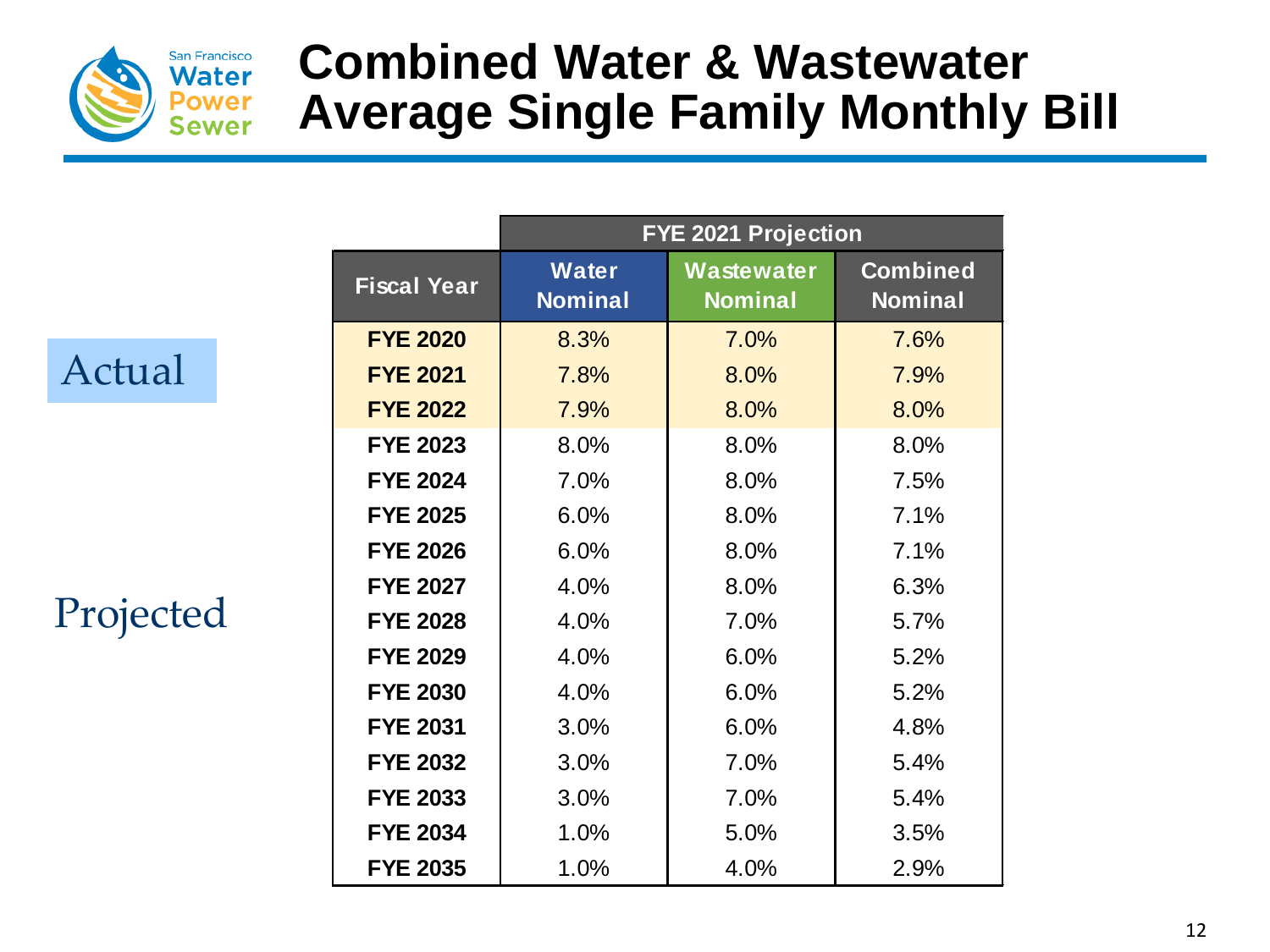![](_page_11_Picture_0.jpeg)

# **Combined Water & Wastewater Average Single Family Monthly Bill**

Actual

Projected

|                    |                                | <b>FYE 2021 Projection</b>   |                                   |
|--------------------|--------------------------------|------------------------------|-----------------------------------|
| <b>Fiscal Year</b> | <b>Water</b><br><b>Nominal</b> | Wastewater<br><b>Nominal</b> | <b>Combined</b><br><b>Nominal</b> |
| <b>FYE 2020</b>    | 8.3%                           | 7.0%                         | 7.6%                              |
| <b>FYE 2021</b>    | 7.8%                           | 8.0%                         | 7.9%                              |
| <b>FYE 2022</b>    | 7.9%                           | 8.0%                         | 8.0%                              |
| <b>FYE 2023</b>    | 8.0%                           | 8.0%                         | 8.0%                              |
| <b>FYE 2024</b>    | 7.0%                           | 8.0%                         | 7.5%                              |
| <b>FYE 2025</b>    | 6.0%                           | 8.0%                         | 7.1%                              |
| <b>FYE 2026</b>    | 6.0%                           | 8.0%                         | 7.1%                              |
| <b>FYE 2027</b>    | 4.0%                           | 8.0%                         | 6.3%                              |
| <b>FYE 2028</b>    | 4.0%                           | 7.0%                         | 5.7%                              |
| <b>FYE 2029</b>    | 4.0%                           | 6.0%                         | 5.2%                              |
| <b>FYE 2030</b>    | 4.0%                           | 6.0%                         | 5.2%                              |
| <b>FYE 2031</b>    | 3.0%                           | 6.0%                         | 4.8%                              |
| <b>FYE 2032</b>    | 3.0%                           | 7.0%                         | 5.4%                              |
| <b>FYE 2033</b>    | 3.0%                           | 7.0%                         | 5.4%                              |
| <b>FYE 2034</b>    | 1.0%                           | 5.0%                         | 3.5%                              |
| <b>FYE 2035</b>    | 1.0%                           | 4.0%                         | 2.9%                              |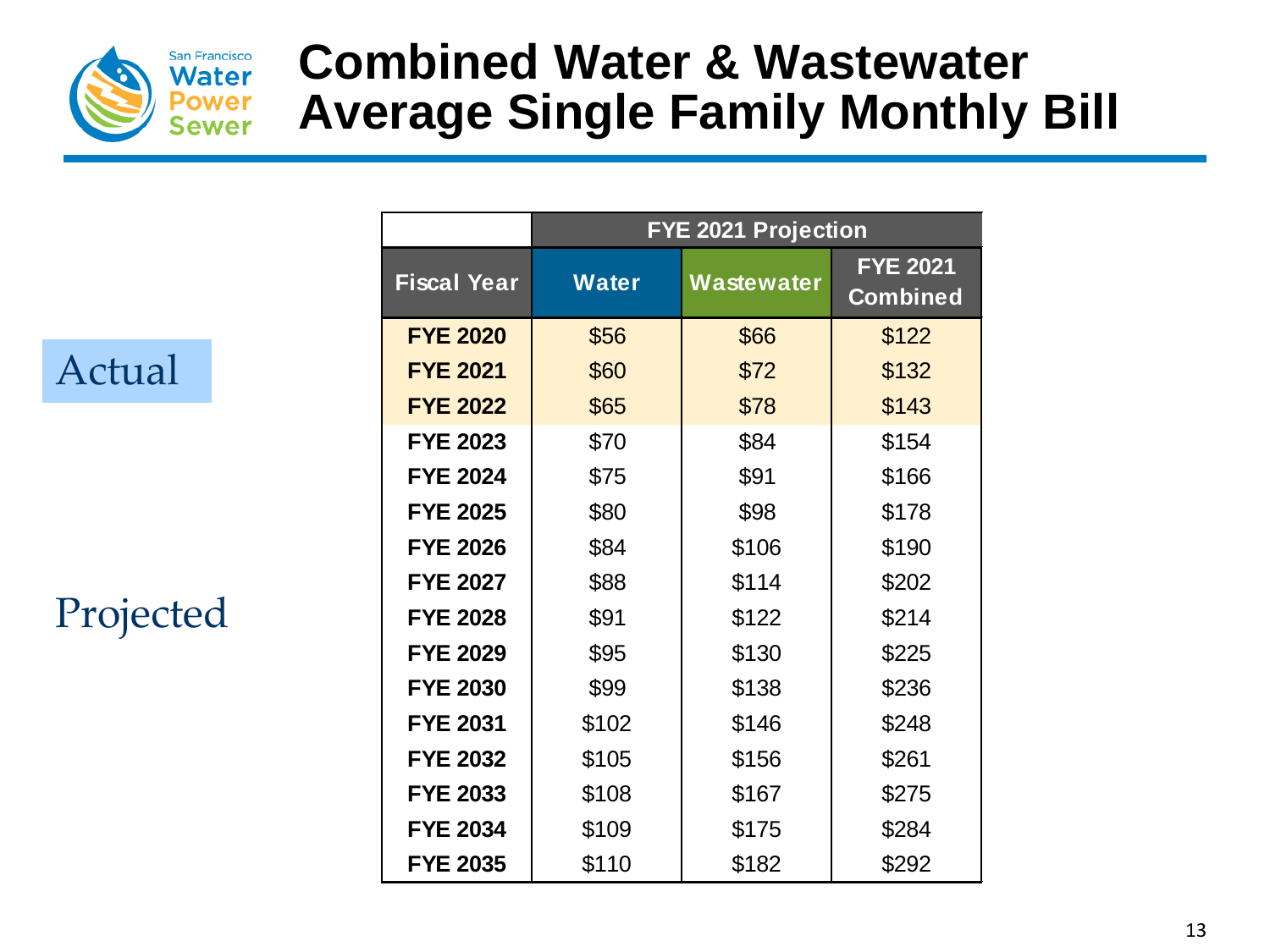![](_page_12_Picture_0.jpeg)

# **Combined Water & Wastewater Average Single Family Monthly Bill**

### Actual

Projected

|                    |              | <b>FYE 2021 Projection</b> |                                    |
|--------------------|--------------|----------------------------|------------------------------------|
| <b>Fiscal Year</b> | <b>Water</b> | Wastewater                 | <b>FYE 2021</b><br><b>Combined</b> |
| <b>FYE 2020</b>    | \$56         | \$66                       | \$122                              |
| <b>FYE 2021</b>    | \$60         | \$72                       | \$132                              |
| <b>FYE 2022</b>    | \$65         | \$78                       | \$143                              |
| <b>FYE 2023</b>    | \$70         | \$84                       | \$154                              |
| <b>FYE 2024</b>    | \$75         | \$91                       | \$166                              |
| <b>FYE 2025</b>    | \$80         | \$98                       | \$178                              |
| <b>FYE 2026</b>    | \$84         | \$106                      | \$190                              |
| <b>FYE 2027</b>    | \$88         | \$114                      | \$202                              |
| <b>FYE 2028</b>    | \$91         | \$122                      | \$214                              |
| <b>FYE 2029</b>    | \$95         | \$130                      | \$225                              |
| <b>FYE 2030</b>    | \$99         | \$138                      | \$236                              |
| <b>FYE 2031</b>    | \$102        | \$146                      | \$248                              |
| <b>FYE 2032</b>    | \$105        | \$156                      | \$261                              |
| <b>FYE 2033</b>    | \$108        | \$167                      | \$275                              |
| <b>FYE 2034</b>    | \$109        | \$175                      | \$284                              |
| <b>FYE 2035</b>    | \$110        | \$182                      | \$292                              |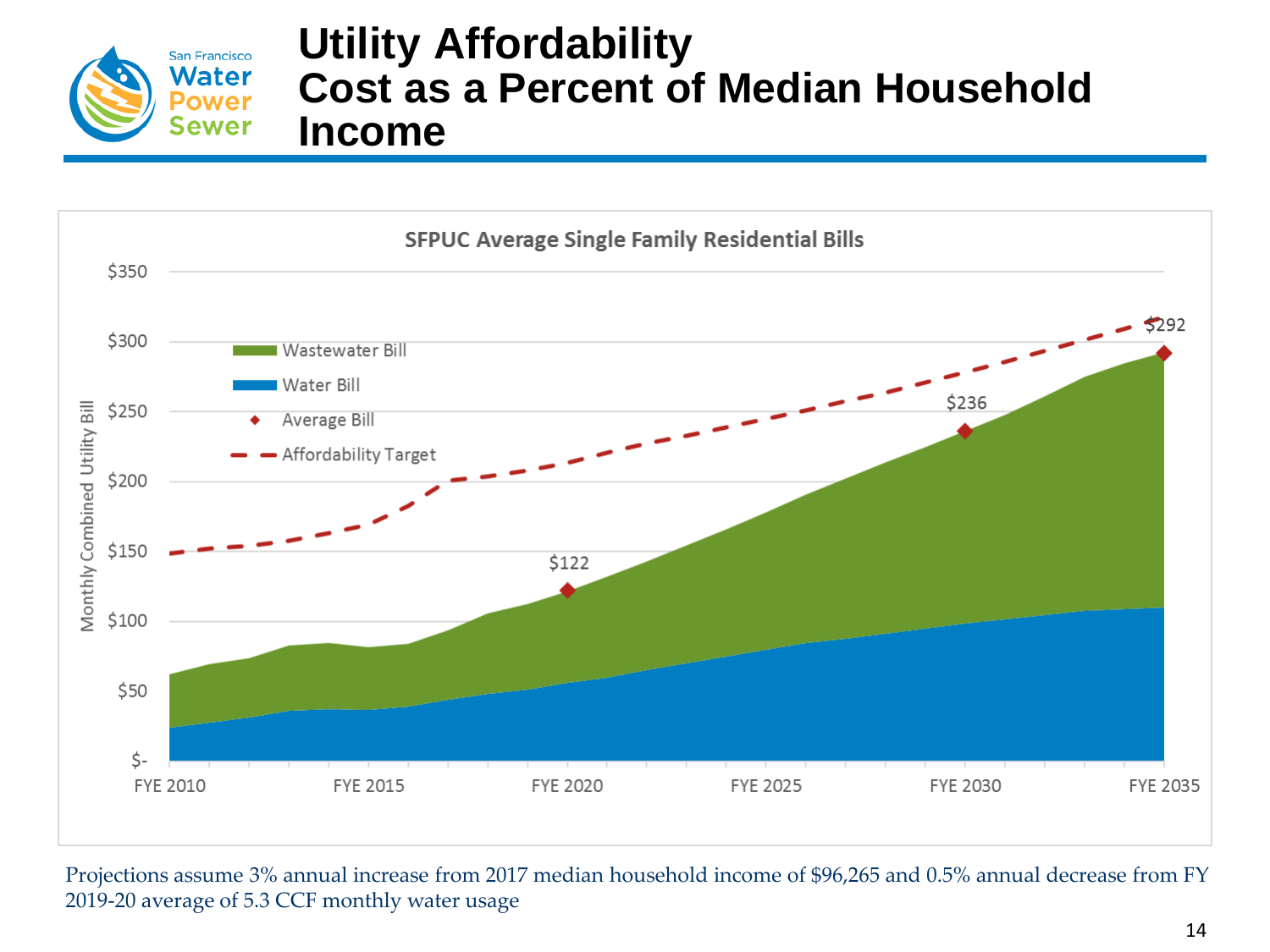![](_page_13_Picture_0.jpeg)

#### **Utility Affordability Cost as a Percent of Median Household Income**

![](_page_13_Figure_2.jpeg)

Projections assume 3% annual increase from 2017 median household income of \$96,265 and 0.5% annual decrease from FY 2019-20 average of 5.3 CCF monthly water usage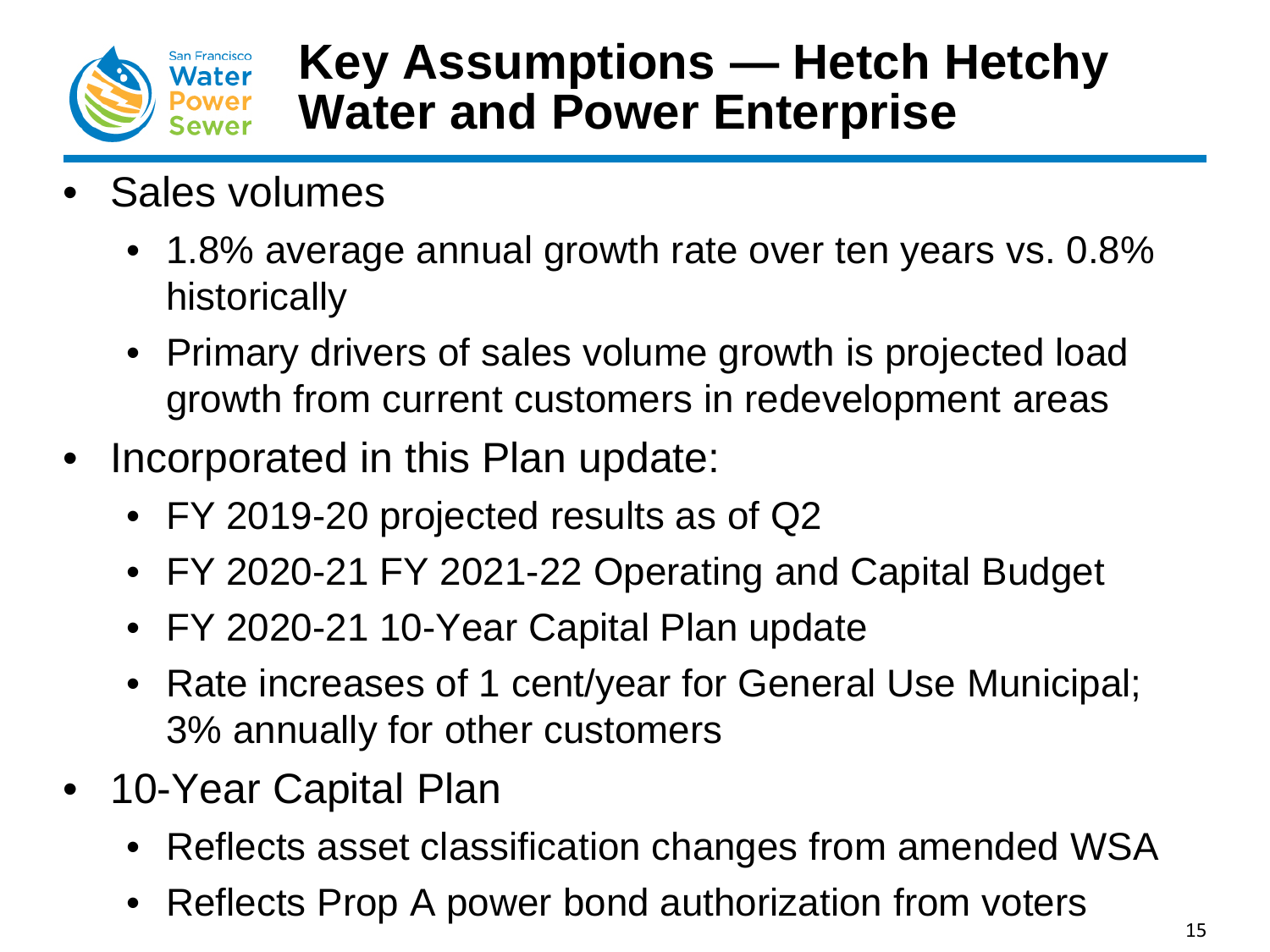![](_page_14_Picture_0.jpeg)

# **Key Assumptions — Hetch Hetchy Water and Power Enterprise**

- Sales volumes
	- 1.8% average annual growth rate over ten years vs. 0.8% historically
	- Primary drivers of sales volume growth is projected load growth from current customers in redevelopment areas
- Incorporated in this Plan update:
	- FY 2019-20 projected results as of Q2
	- FY 2020-21 FY 2021-22 Operating and Capital Budget
	- FY 2020-21 10-Year Capital Plan update
	- Rate increases of 1 cent/year for General Use Municipal; 3% annually for other customers
- 10-Year Capital Plan
	- Reflects asset classification changes from amended WSA
	- Reflects Prop A power bond authorization from voters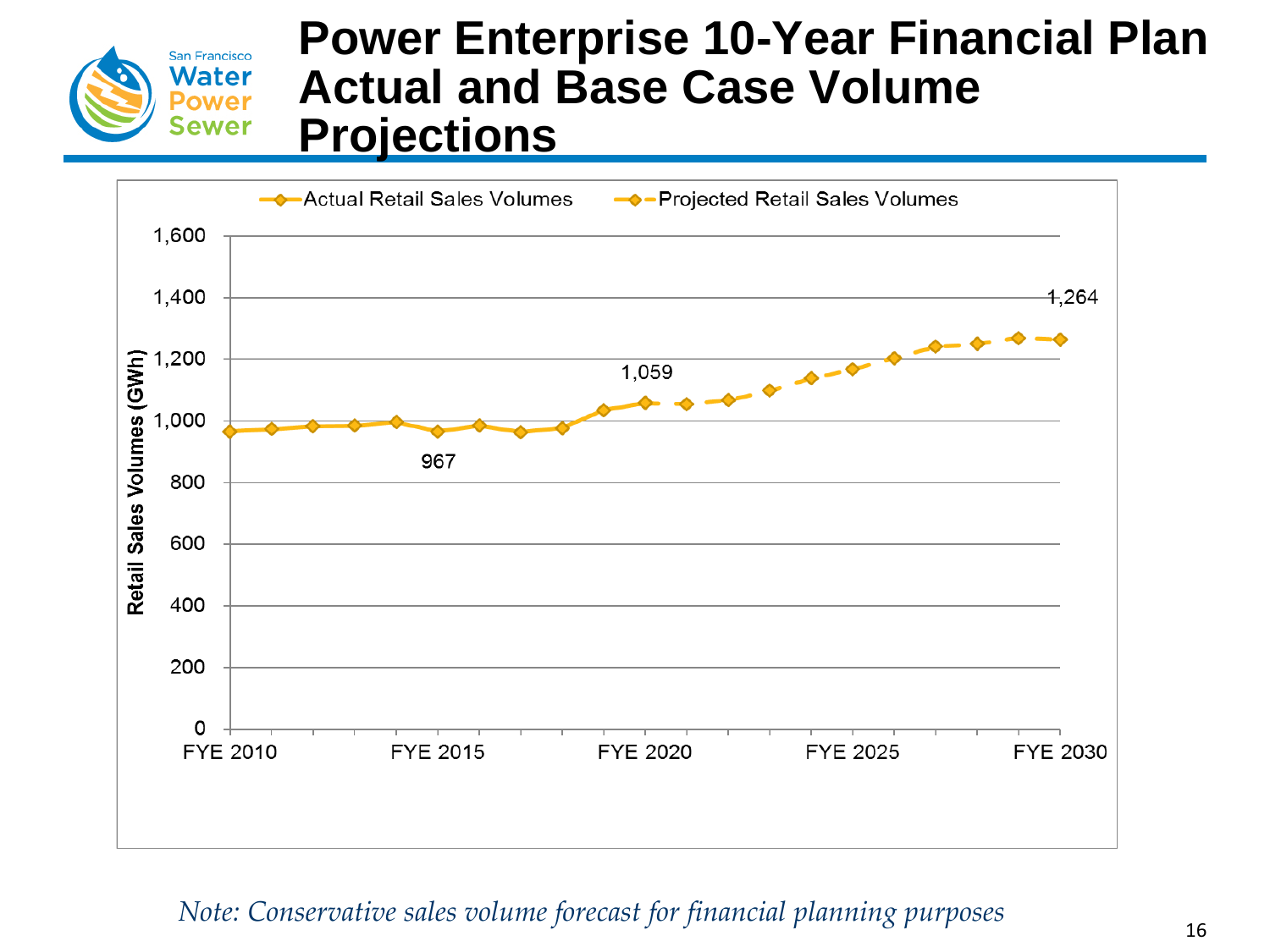![](_page_15_Picture_0.jpeg)

### **Power Enterprise 10-Year Financial Plan Actual and Base Case Volume Projections**

![](_page_15_Figure_2.jpeg)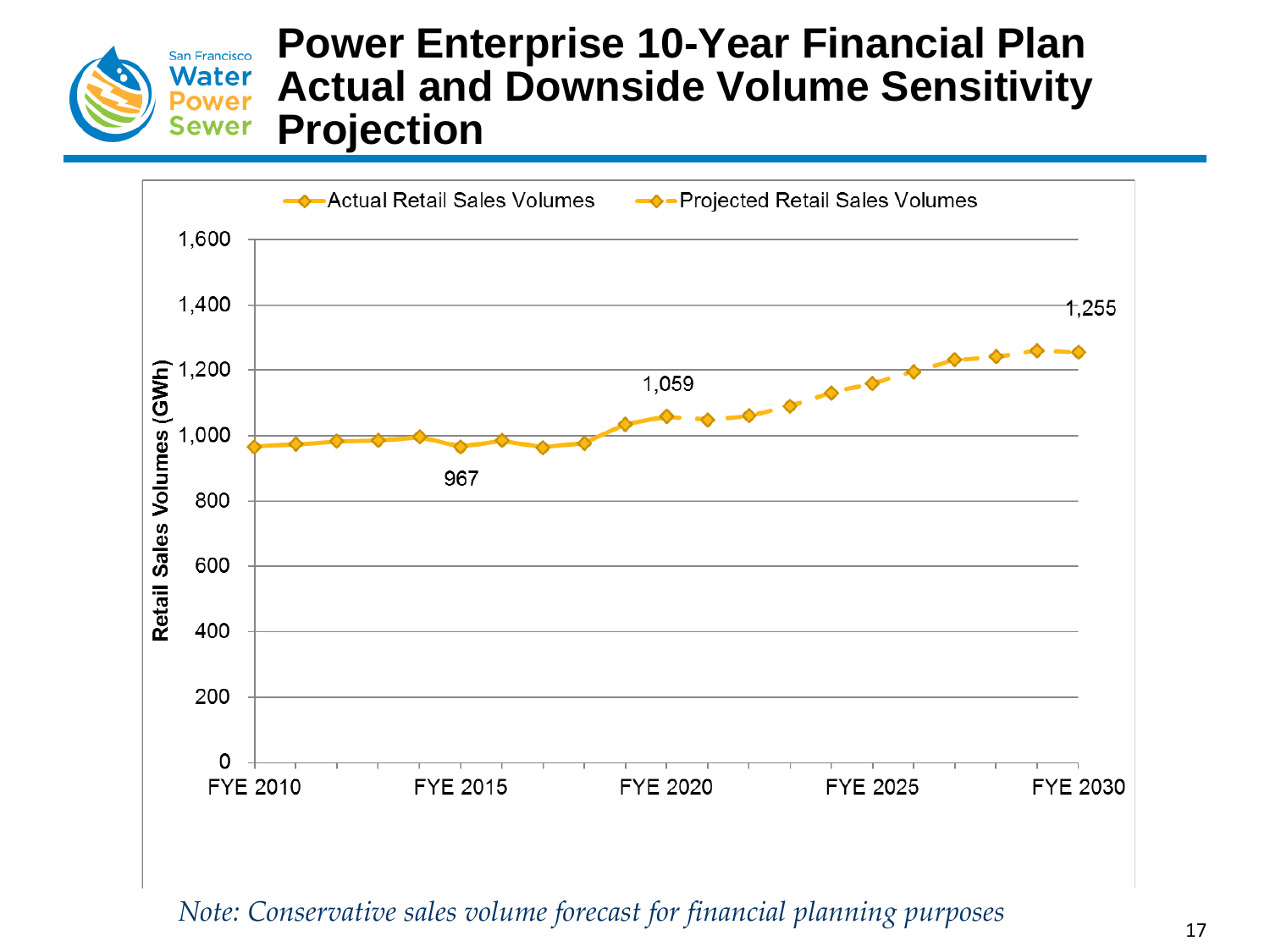![](_page_16_Picture_0.jpeg)

#### **Power Enterprise 10-Year Financial Plan Actual and Downside Volume Sensitivity Projection**

![](_page_16_Figure_2.jpeg)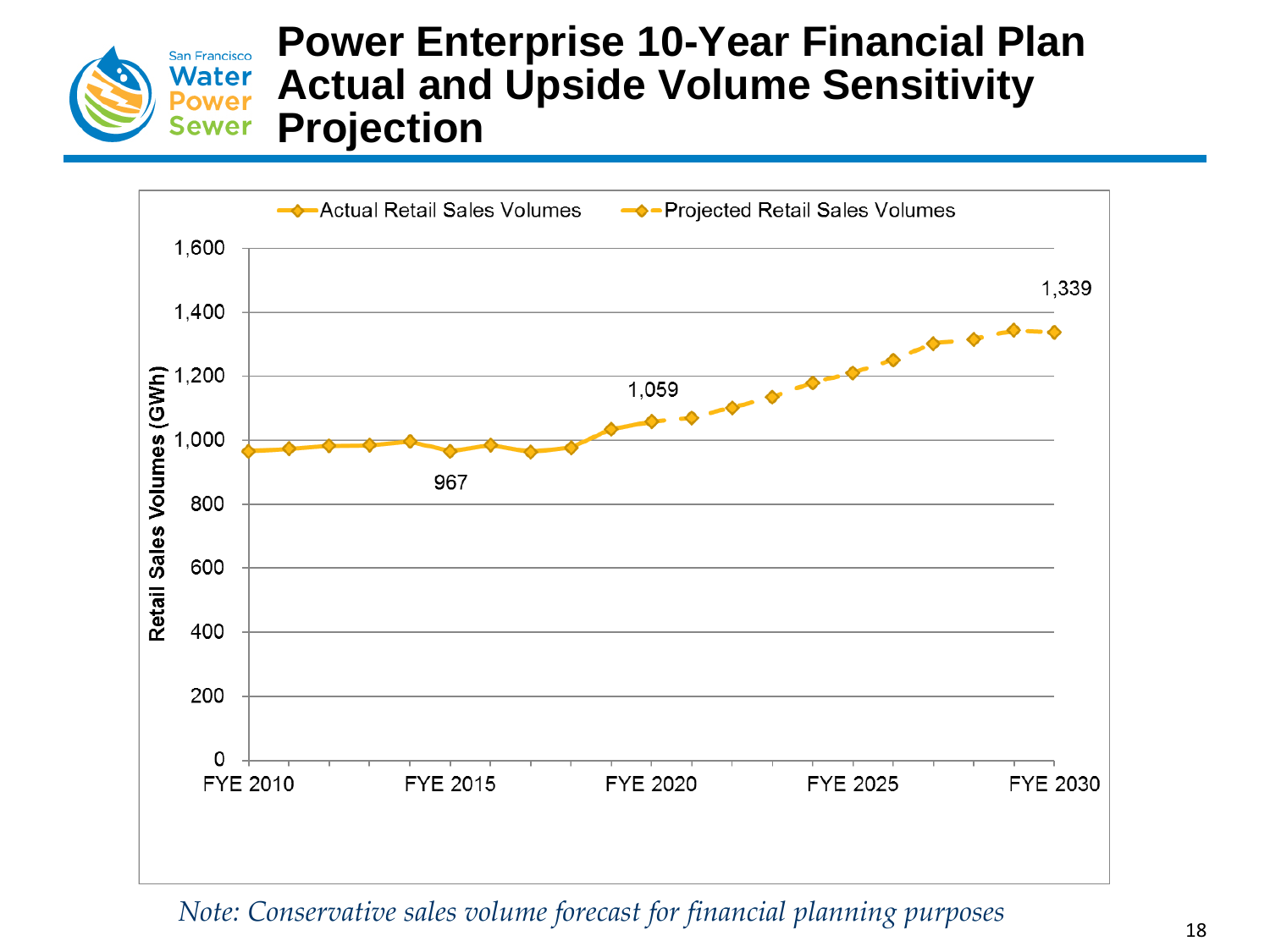![](_page_17_Picture_0.jpeg)

#### **Power Enterprise 10-Year Financial Plan Actual and Upside Volume Sensitivity Projection**

![](_page_17_Figure_2.jpeg)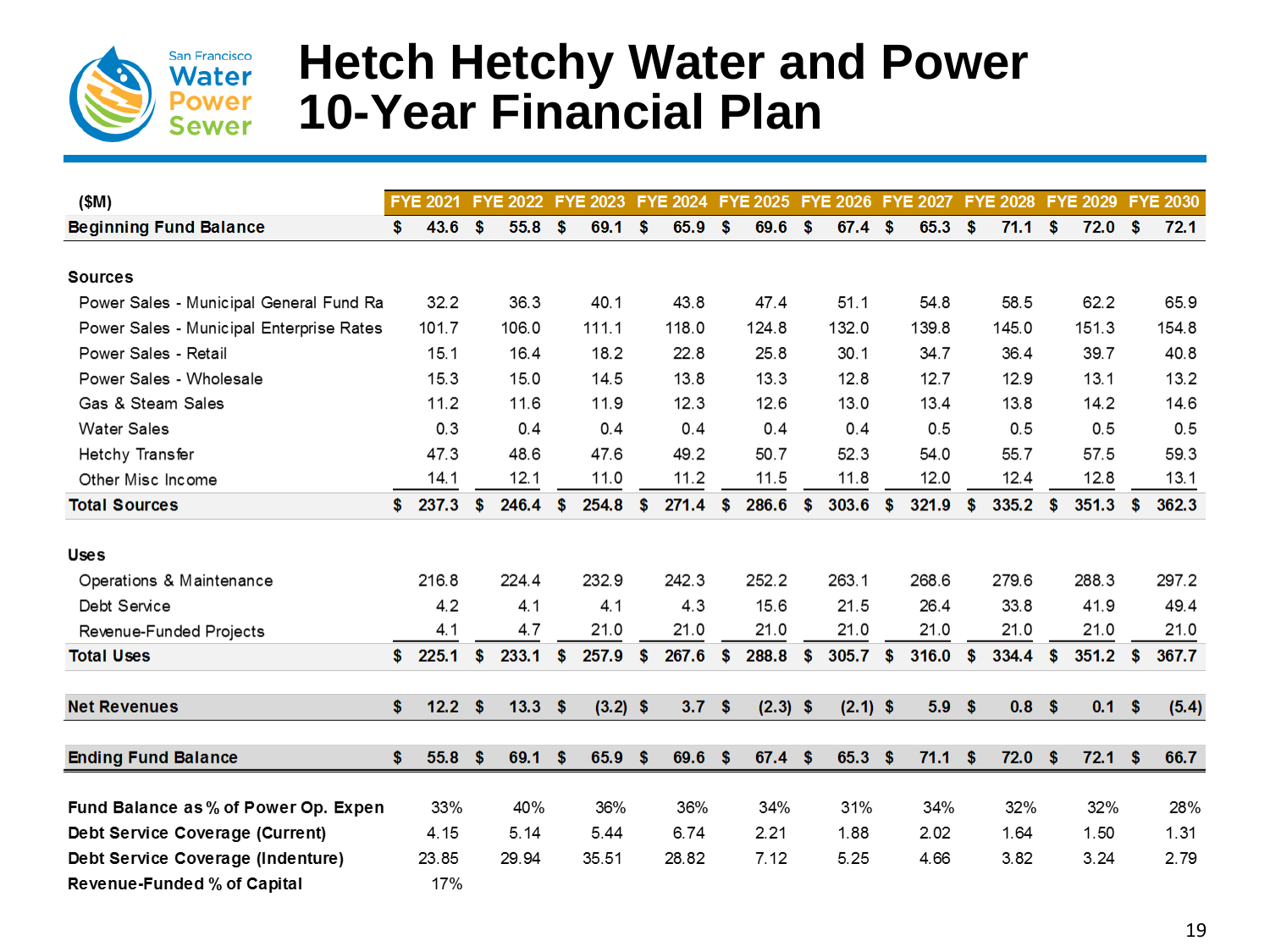![](_page_18_Picture_0.jpeg)

## **Hetch Hetchy Water and Power 10-Year Financial Plan**

| (SM)                                     |     | <b>FYE 2021</b> |     | <b>FYE 2022</b>   |     | <b>FYE 2023</b> |               | FYE 2024 FYE 2025 FYE 2026 FYE 2027 FYE 2028 FYE 2029 FYE 2030 |     |            |     |                   |               |       |    |          |      |            |     |       |
|------------------------------------------|-----|-----------------|-----|-------------------|-----|-----------------|---------------|----------------------------------------------------------------|-----|------------|-----|-------------------|---------------|-------|----|----------|------|------------|-----|-------|
| <b>Beginning Fund Balance</b>            | \$. | 43.6            | S.  | 55.8 <sup>°</sup> |     | 69.1            | <b>S</b>      | 65.9                                                           | S.  | 69.6       | -\$ | $67.4$ \$         |               | 65.3  | \$ | 71.1 S   |      | $72.0$ \$  |     | 72.1  |
|                                          |     |                 |     |                   |     |                 |               |                                                                |     |            |     |                   |               |       |    |          |      |            |     |       |
| <b>Sources</b>                           |     |                 |     |                   |     |                 |               |                                                                |     |            |     |                   |               |       |    |          |      |            |     |       |
| Power Sales - Municipal General Fund Ra  |     | 32.2            |     | 36.3              |     | 40.1            |               | 43.8                                                           |     | 47.4       |     | 51.1              |               | 54.8  |    | 58.5     |      | 62.2       |     | 65.9  |
| Power Sales - Municipal Enterprise Rates |     | 101.7           |     | 106.0             |     | 111.1           |               | 118.0                                                          |     | 124.8      |     | 132.0             |               | 139.8 |    | 145.0    |      | 151.3      |     | 154.8 |
| Power Sales - Retail                     |     | 15.1            |     | 16.4              |     | 18.2            |               | 22.8                                                           |     | 25.8       |     | 30.1              |               | 34.7  |    | 36.4     |      | 39.7       |     | 40.8  |
| Power Sales - Wholesale                  |     | 15.3            |     | 15.0              |     | 14.5            |               | 13.8                                                           |     | 13.3       |     | 12.8              |               | 12.7  |    | 12.9     |      | 13.1       |     | 13.2  |
| Gas & Steam Sales                        |     | 11.2            |     | 11.6              |     | 11.9            |               | 12.3                                                           |     | 12.6       |     | 13.0              |               | 13.4  |    | 13.8     |      | 14.2       |     | 14.6  |
| <b>Water Sales</b>                       |     | 0.3             |     | 0.4               |     | 0.4             |               | 0.4                                                            |     | 0.4        |     | 0.4               |               | 0.5   |    | 0.5      |      | 0.5        |     | 0.5   |
| Hetchy Transfer                          |     | 47.3            |     | 48.6              |     | 47.6            |               | 49.2                                                           |     | 50.7       |     | 52.3              |               | 54.0  |    | 55.7     |      | 57.5       |     | 59.3  |
| Other Misc Income                        |     | 14.1            |     | 12.1              |     | 11.0            |               | 11.2                                                           |     | 11.5       |     | 11.8              |               | 12.0  |    | 12.4     |      | 12.8       |     | 13.1  |
| <b>Total Sources</b>                     | \$  | 237.3           | \$  | 246.4             | \$  | 254.8           | \$            | 271.4                                                          | \$  | 286.6      | \$  | 303.6             | $\frac{1}{2}$ | 321.9 | \$ | 335.2    | \$   | 351.3      | S.  | 362.3 |
| <b>Uses</b>                              |     |                 |     |                   |     |                 |               |                                                                |     |            |     |                   |               |       |    |          |      |            |     |       |
| Operations & Maintenance                 |     | 216.8           |     | 224.4             |     | 232.9           |               | 242.3                                                          |     | 252.2      |     | 263.1             |               | 268.6 |    | 279.6    |      | 288.3      |     | 297.2 |
| Debt Service                             |     | 4.2             |     | 4.1               |     | 4.1             |               | 4.3                                                            |     | 15.6       |     | 21.5              |               | 26.4  |    | 33.8     |      | 41.9       |     | 49.4  |
| Revenue-Funded Projects                  |     | 4.1             |     | 4.7               |     | 21.0            |               | 21.0                                                           |     | 21.0       |     | 21.0              |               | 21.0  |    | 21.0     |      | 21.0       |     | 21.0  |
| <b>Total Uses</b>                        | \$. | 225.1           | \$  | 233.1             | \$  | 257.9           | $\mathbf{\$}$ | 267.6                                                          | \$  | 288.8      | \$  | 305.7             | $\sqrt{3}$    | 316.0 | \$ | 334.4    | S.   | $351.2$ \$ |     | 367.7 |
| <b>Net Revenues</b>                      | \$  | 12.2            | \$  | $13.3$ \$         |     | $(3.2)$ \$      |               | 3.7                                                            | \$  | $(2.3)$ \$ |     | $(2.1)$ \$        |               | 5.9   | \$ | $0.8$ \$ |      | 0.1        | -\$ | (5.4) |
|                                          |     |                 |     |                   |     |                 |               |                                                                |     |            |     |                   |               |       |    |          |      |            |     |       |
| <b>Ending Fund Balance</b>               | \$  | 55.8            | \$. | 69.1              | -\$ | 65.9            | -S            | 69.6                                                           | -\$ | $67.4$ \$  |     | 65.3 <sup>5</sup> |               | 71.1  | S. | 72.0     | - \$ | 72.1       | -\$ | 66.7  |
| Fund Balance as % of Power Op. Expen     |     | 33%             |     | 40%               |     | 36%             |               | 36%                                                            |     | 34%        |     | 31%               |               | 34%   |    | 32%      |      | 32%        |     | 28%   |
| Debt Service Coverage (Current)          |     | 4.15            |     | 5.14              |     | 5.44            |               | 6.74                                                           |     | 2.21       |     | 1.88              |               | 2.02  |    | 1.64     |      | 1.50       |     | 1.31  |
| Debt Service Coverage (Indenture)        |     | 23.85           |     | 29.94             |     | 35.51           |               | 28.82                                                          |     | 7.12       |     | 5.25              |               | 4.66  |    | 3.82     |      | 3.24       |     | 2.79  |
| Revenue-Funded % of Capital              |     | 17%             |     |                   |     |                 |               |                                                                |     |            |     |                   |               |       |    |          |      |            |     |       |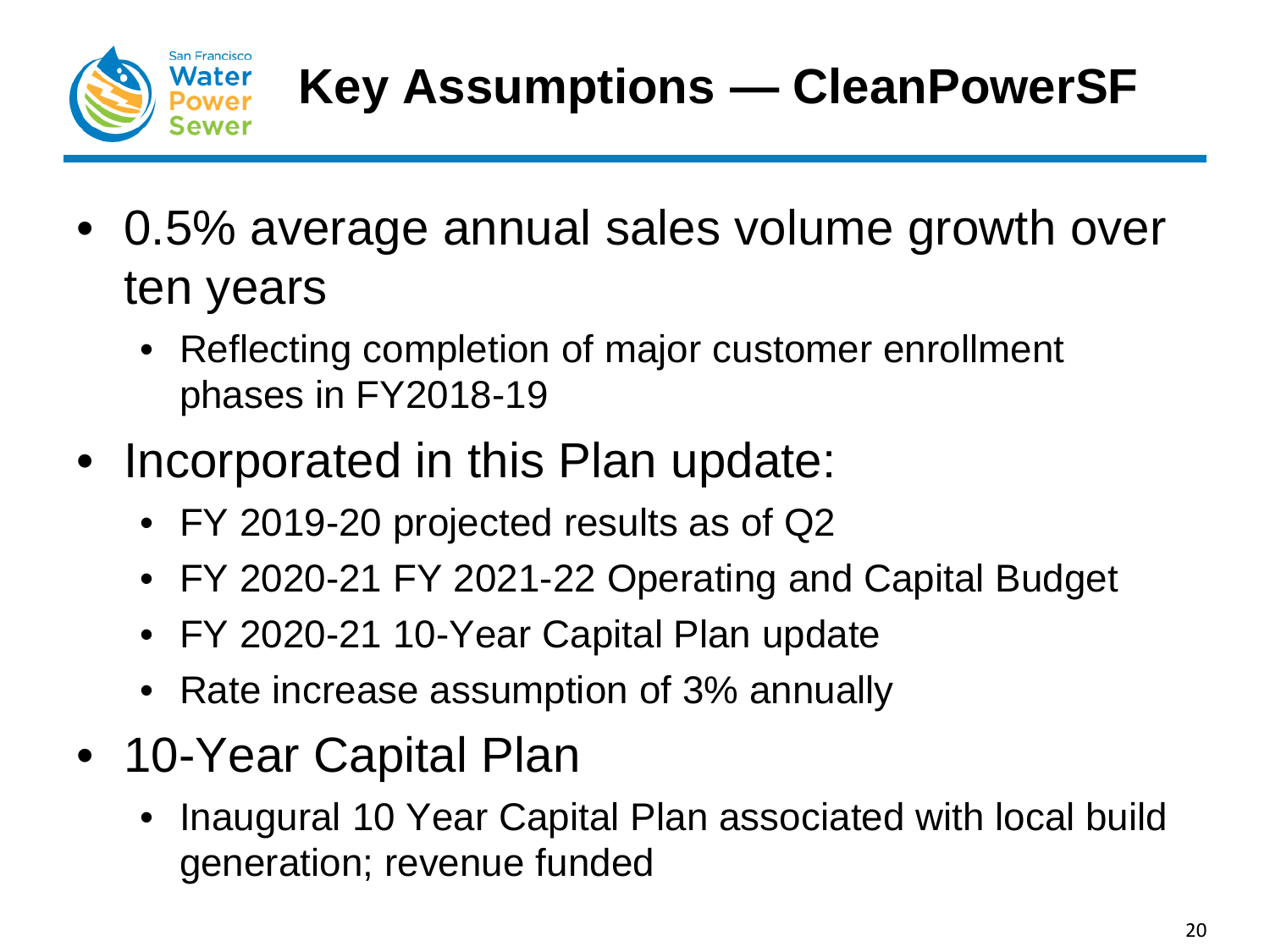![](_page_19_Picture_0.jpeg)

- 0.5% average annual sales volume growth over ten years
	- Reflecting completion of major customer enrollment phases in FY2018-19
- Incorporated in this Plan update:
	- FY 2019-20 projected results as of Q2
	- FY 2020-21 FY 2021-22 Operating and Capital Budget
	- FY 2020-21 10-Year Capital Plan update
	- Rate increase assumption of 3% annually
- 10-Year Capital Plan
	- Inaugural 10 Year Capital Plan associated with local build generation; revenue funded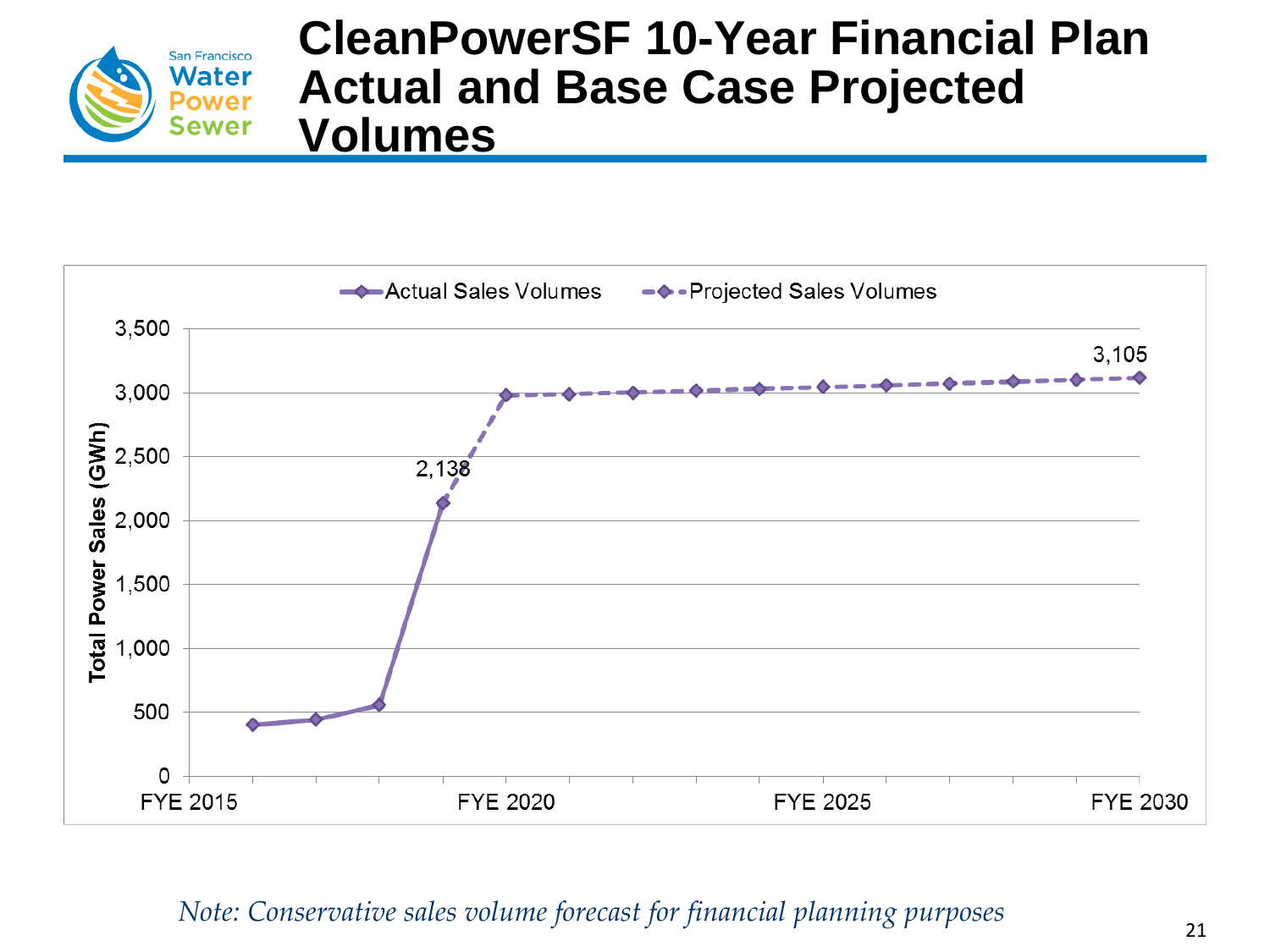![](_page_20_Picture_0.jpeg)

### **CleanPowerSF 10-Year Financial Plan Actual and Base Case Projected Volumes**

![](_page_20_Figure_2.jpeg)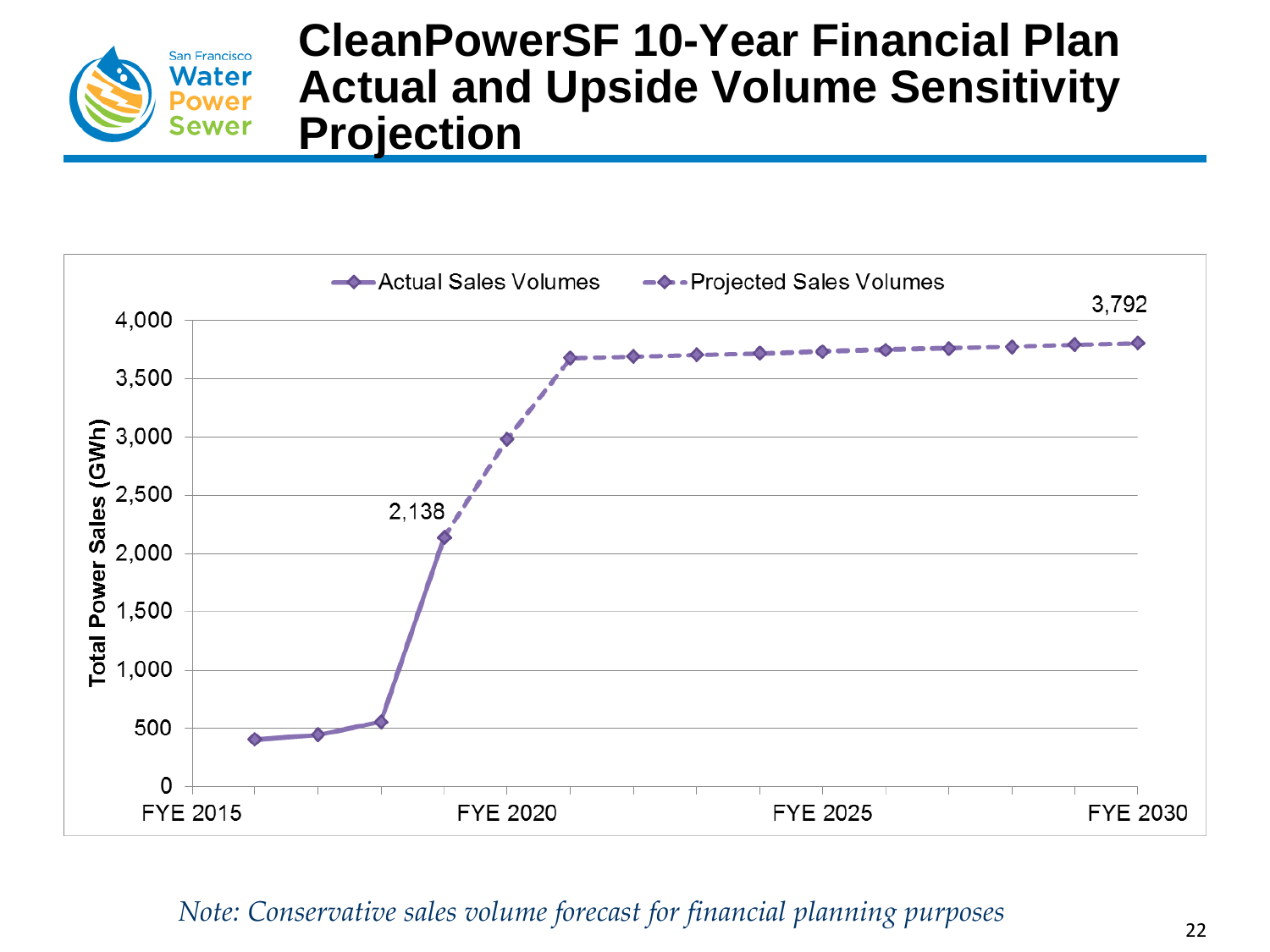![](_page_21_Picture_0.jpeg)

### **CleanPowerSF 10-Year Financial Plan Actual and Upside Volume Sensitivity Projection**

![](_page_21_Figure_2.jpeg)